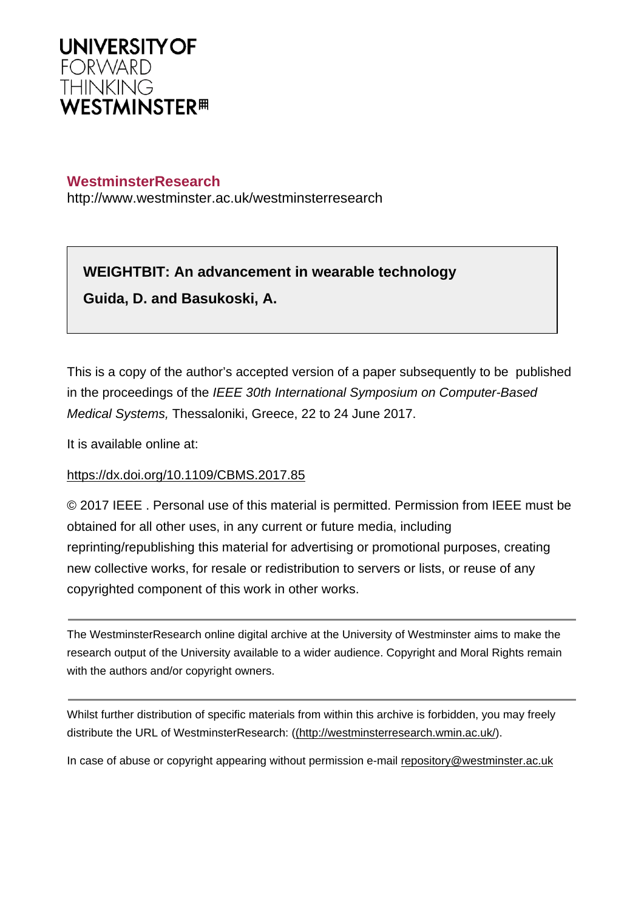

# **WestminsterResearch**

http://www.westminster.ac.uk/westminsterresearch

**WEIGHTBIT: An advancement in wearable technology**

**Guida, D. and Basukoski, A.**

This is a copy of the author's accepted version of a paper subsequently to be published in the proceedings of the IEEE 30th International Symposium on Computer-Based Medical Systems, Thessaloniki, Greece, 22 to 24 June 2017.

It is available online at:

# <https://dx.doi.org/10.1109/CBMS.2017.85>

© 2017 IEEE . Personal use of this material is permitted. Permission from IEEE must be obtained for all other uses, in any current or future media, including reprinting/republishing this material for advertising or promotional purposes, creating new collective works, for resale or redistribution to servers or lists, or reuse of any copyrighted component of this work in other works.

The WestminsterResearch online digital archive at the University of Westminster aims to make the research output of the University available to a wider audience. Copyright and Moral Rights remain with the authors and/or copyright owners.

Whilst further distribution of specific materials from within this archive is forbidden, you may freely distribute the URL of WestminsterResearch: [\(\(http://westminsterresearch.wmin.ac.uk/](http://westminsterresearch.wmin.ac.uk/)).

In case of abuse or copyright appearing without permission e-mail <repository@westminster.ac.uk>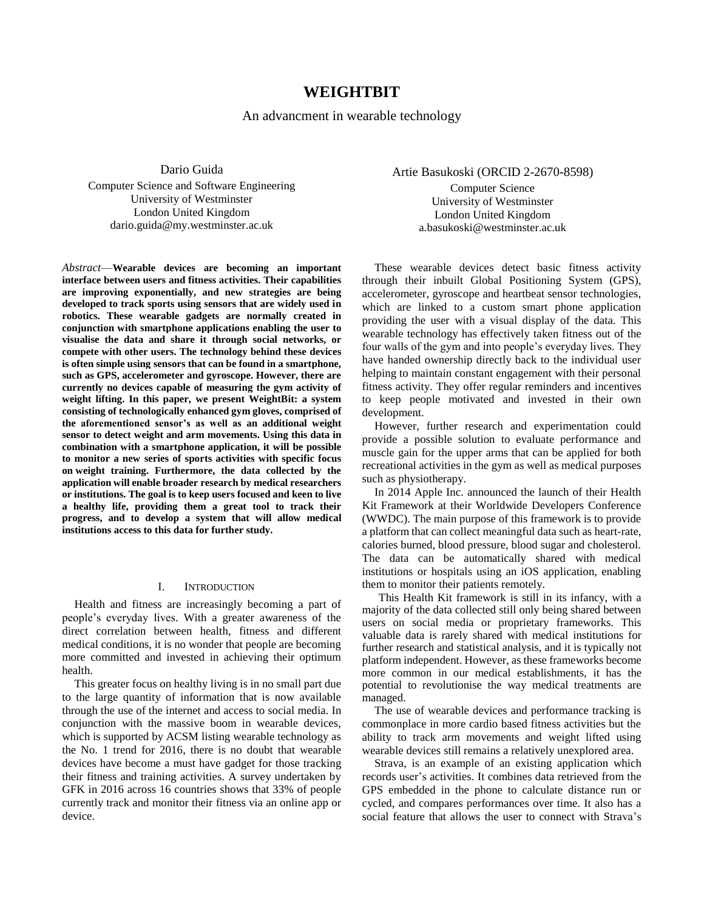## **WEIGHTBIT**

An advancment in wearable technology

Dario Guida Computer Science and Software Engineering University of Westminster London United Kingdom dario.guida@my.westminster.ac.uk

*Abstract*—**Wearable devices are becoming an important interface between users and fitness activities. Their capabilities are improving exponentially, and new strategies are being developed to track sports using sensors that are widely used in robotics. These wearable gadgets are normally created in conjunction with smartphone applications enabling the user to visualise the data and share it through social networks, or compete with other users. The technology behind these devices is often simple using sensors that can be found in a smartphone, such as GPS, accelerometer and gyroscope. However, there are currently no devices capable of measuring the gym activity of weight lifting. In this paper, we present WeightBit: a system consisting of technologically enhanced gym gloves, comprised of the aforementioned sensor's as well as an additional weight sensor to detect weight and arm movements. Using this data in combination with a smartphone application, it will be possible to monitor a new series of sports activities with specific focus on weight training. Furthermore, the data collected by the application will enable broader research by medical researchers or institutions. The goal is to keep users focused and keen to live a healthy life, providing them a great tool to track their progress, and to develop a system that will allow medical institutions access to this data for further study.**

## I. INTRODUCTION

Health and fitness are increasingly becoming a part of people's everyday lives. With a greater awareness of the direct correlation between health, fitness and different medical conditions, it is no wonder that people are becoming more committed and invested in achieving their optimum health.

This greater focus on healthy living is in no small part due to the large quantity of information that is now available through the use of the internet and access to social media. In conjunction with the massive boom in wearable devices, which is supported by ACSM listing wearable technology as the No. 1 trend for 2016, there is no doubt that wearable devices have become a must have gadget for those tracking their fitness and training activities. A survey undertaken by GFK in 2016 across 16 countries shows that 33% of people currently track and monitor their fitness via an online app or device.

Artie Basukoski (ORCID 2-2670-8598) Computer Science

University of Westminster London United Kingdom a.basukoski@westminster.ac.uk

These wearable devices detect basic fitness activity through their inbuilt Global Positioning System (GPS), accelerometer, gyroscope and heartbeat sensor technologies, which are linked to a custom smart phone application providing the user with a visual display of the data. This wearable technology has effectively taken fitness out of the four walls of the gym and into people's everyday lives. They have handed ownership directly back to the individual user helping to maintain constant engagement with their personal fitness activity. They offer regular reminders and incentives to keep people motivated and invested in their own development.

However, further research and experimentation could provide a possible solution to evaluate performance and muscle gain for the upper arms that can be applied for both recreational activities in the gym as well as medical purposes such as physiotherapy.

In 2014 Apple Inc. announced the launch of their Health Kit Framework at their Worldwide Developers Conference (WWDC). The main purpose of this framework is to provide a platform that can collect meaningful data such as heart-rate, calories burned, blood pressure, blood sugar and cholesterol. The data can be automatically shared with medical institutions or hospitals using an iOS application, enabling them to monitor their patients remotely.

This Health Kit framework is still in its infancy, with a majority of the data collected still only being shared between users on social media or proprietary frameworks. This valuable data is rarely shared with medical institutions for further research and statistical analysis, and it is typically not platform independent. However, as these frameworks become more common in our medical establishments, it has the potential to revolutionise the way medical treatments are managed.

The use of wearable devices and performance tracking is commonplace in more cardio based fitness activities but the ability to track arm movements and weight lifted using wearable devices still remains a relatively unexplored area.

Strava, is an example of an existing application which records user's activities. It combines data retrieved from the GPS embedded in the phone to calculate distance run or cycled, and compares performances over time. It also has a social feature that allows the user to connect with Strava's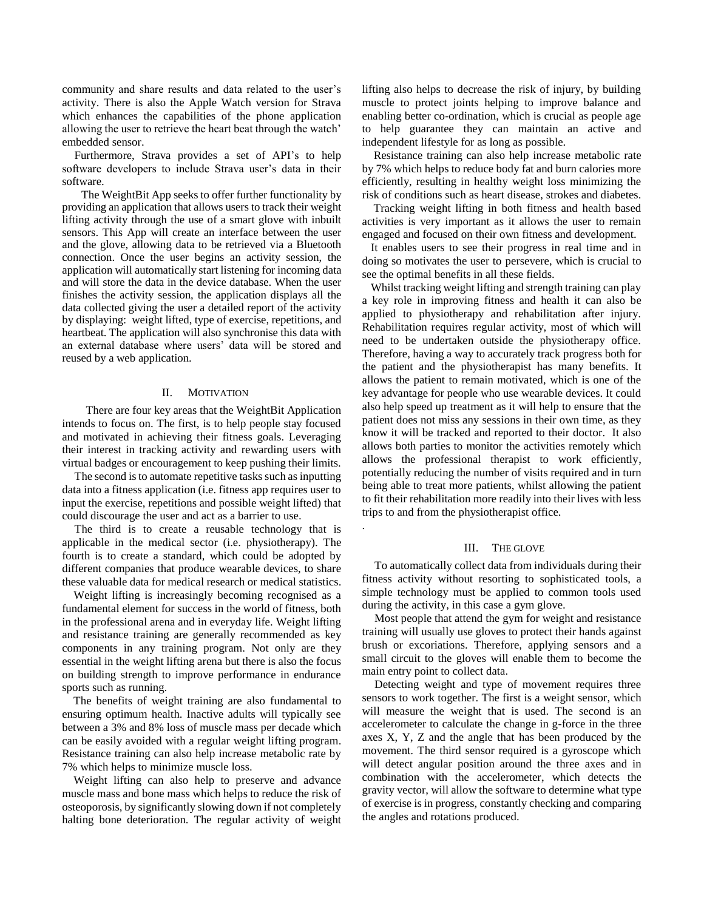community and share results and data related to the user's activity. There is also the Apple Watch version for Strava which enhances the capabilities of the phone application allowing the user to retrieve the heart beat through the watch' embedded sensor.

Furthermore, Strava provides a set of API's to help software developers to include Strava user's data in their software.

The WeightBit App seeks to offer further functionality by providing an application that allows users to track their weight lifting activity through the use of a smart glove with inbuilt sensors. This App will create an interface between the user and the glove, allowing data to be retrieved via a Bluetooth connection. Once the user begins an activity session, the application will automatically start listening for incoming data and will store the data in the device database. When the user finishes the activity session, the application displays all the data collected giving the user a detailed report of the activity by displaying: weight lifted, type of exercise, repetitions, and heartbeat. The application will also synchronise this data with an external database where users' data will be stored and reused by a web application.

#### II. MOTIVATION

 There are four key areas that the WeightBit Application intends to focus on. The first, is to help people stay focused and motivated in achieving their fitness goals. Leveraging their interest in tracking activity and rewarding users with virtual badges or encouragement to keep pushing their limits.

The second is to automate repetitive tasks such as inputting data into a fitness application (i.e. fitness app requires user to input the exercise, repetitions and possible weight lifted) that could discourage the user and act as a barrier to use.

The third is to create a reusable technology that is applicable in the medical sector (i.e. physiotherapy). The fourth is to create a standard, which could be adopted by different companies that produce wearable devices, to share these valuable data for medical research or medical statistics.

 Weight lifting is increasingly becoming recognised as a fundamental element for success in the world of fitness, both in the professional arena and in everyday life. Weight lifting and resistance training are generally recommended as key components in any training program. Not only are they essential in the weight lifting arena but there is also the focus on building strength to improve performance in endurance sports such as running.

 The benefits of weight training are also fundamental to ensuring optimum health. Inactive adults will typically see between a 3% and 8% loss of muscle mass per decade which can be easily avoided with a regular weight lifting program. Resistance training can also help increase metabolic rate by 7% which helps to minimize muscle loss.

 Weight lifting can also help to preserve and advance muscle mass and bone mass which helps to reduce the risk of osteoporosis, by significantly slowing down if not completely halting bone deterioration. The regular activity of weight lifting also helps to decrease the risk of injury, by building muscle to protect joints helping to improve balance and enabling better co-ordination, which is crucial as people age to help guarantee they can maintain an active and independent lifestyle for as long as possible.

 Resistance training can also help increase metabolic rate by 7% which helps to reduce body fat and burn calories more efficiently, resulting in healthy weight loss minimizing the risk of conditions such as heart disease, strokes and diabetes.

 Tracking weight lifting in both fitness and health based activities is very important as it allows the user to remain engaged and focused on their own fitness and development.

 It enables users to see their progress in real time and in doing so motivates the user to persevere, which is crucial to see the optimal benefits in all these fields.

 Whilst tracking weight lifting and strength training can play a key role in improving fitness and health it can also be applied to physiotherapy and rehabilitation after injury. Rehabilitation requires regular activity, most of which will need to be undertaken outside the physiotherapy office. Therefore, having a way to accurately track progress both for the patient and the physiotherapist has many benefits. It allows the patient to remain motivated, which is one of the key advantage for people who use wearable devices. It could also help speed up treatment as it will help to ensure that the patient does not miss any sessions in their own time, as they know it will be tracked and reported to their doctor. It also allows both parties to monitor the activities remotely which allows the professional therapist to work efficiently, potentially reducing the number of visits required and in turn being able to treat more patients, whilst allowing the patient to fit their rehabilitation more readily into their lives with less trips to and from the physiotherapist office.

### III. THE GLOVE

.

To automatically collect data from individuals during their fitness activity without resorting to sophisticated tools, a simple technology must be applied to common tools used during the activity, in this case a gym glove.

Most people that attend the gym for weight and resistance training will usually use gloves to protect their hands against brush or excoriations. Therefore, applying sensors and a small circuit to the gloves will enable them to become the main entry point to collect data.

Detecting weight and type of movement requires three sensors to work together. The first is a weight sensor, which will measure the weight that is used. The second is an accelerometer to calculate the change in g-force in the three axes X, Y, Z and the angle that has been produced by the movement. The third sensor required is a gyroscope which will detect angular position around the three axes and in combination with the accelerometer, which detects the gravity vector, will allow the software to determine what type of exercise is in progress, constantly checking and comparing the angles and rotations produced.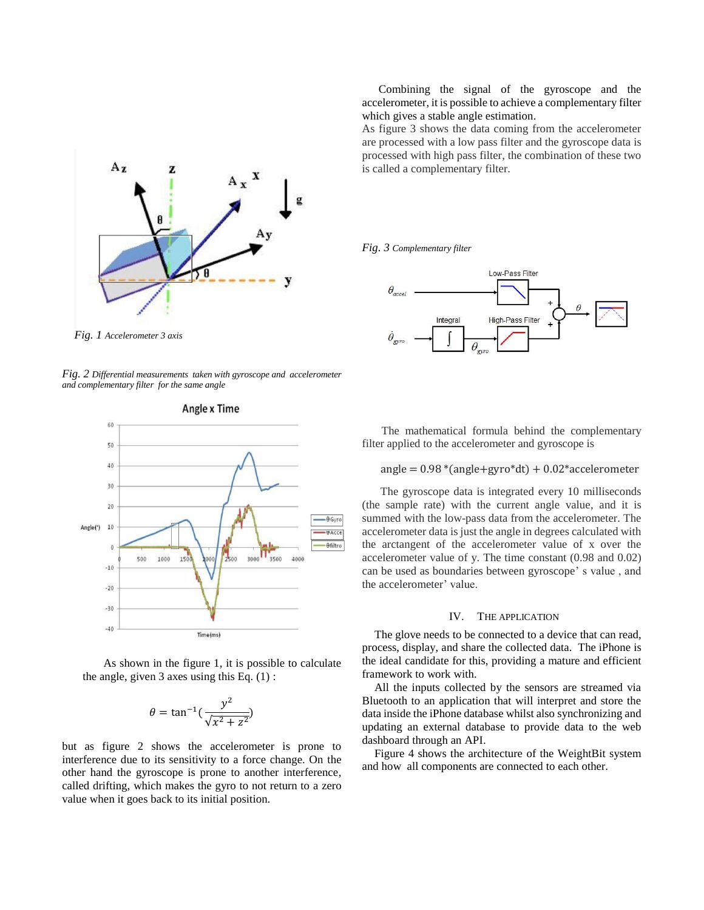

As figure 3 shows the data coming from the accelerometer are processed with a low pass filter and the gyroscope data is processed with high pass filter, the combination of these two is called a complementary filter.

*Fig. 3 Complementary filter*



The mathematical formula behind the complementary filter applied to the accelerometer and gyroscope is

#### angle =  $0.98*(angle+gyro*dt) + 0.02*accelerometer$

The gyroscope data is integrated every 10 milliseconds (the sample rate) with the current angle value, and it is summed with the low-pass data from the accelerometer. The accelerometer data is just the angle in degrees calculated with the arctangent of the accelerometer value of x over the accelerometer value of y. The time constant (0.98 and 0.02) can be used as boundaries between gyroscope' s value , and the accelerometer' value.

#### IV. THE APPLICATION

The glove needs to be connected to a device that can read, process, display, and share the collected data. The iPhone is the ideal candidate for this, providing a mature and efficient framework to work with.

All the inputs collected by the sensors are streamed via Bluetooth to an application that will interpret and store the data inside the iPhone database whilst also synchronizing and updating an external database to provide data to the web dashboard through an API.

Figure 4 shows the architecture of the WeightBit system and how all components are connected to each other.



*Fig. 2 Differential measurements taken with gyroscope and accelerometer and complementary filter for the same angle*



As shown in the figure 1, it is possible to calculate the angle, given 3 axes using this Eq. (1) :

$$
\theta = \tan^{-1}\left(\frac{y^2}{\sqrt{x^2 + z^2}}\right)
$$

but as figure 2 shows the accelerometer is prone to interference due to its sensitivity to a force change. On the other hand the gyroscope is prone to another interference, called drifting, which makes the gyro to not return to a zero value when it goes back to its initial position.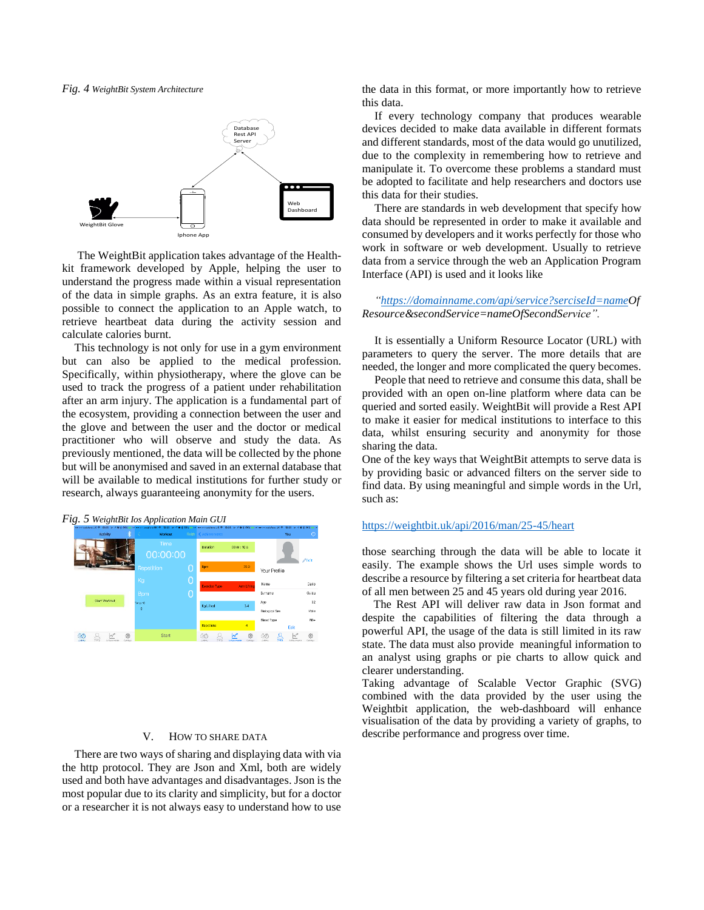*Fig. 4 WeightBit System Architecture* 



The WeightBit application takes advantage of the Healthkit framework developed by Apple, helping the user to understand the progress made within a visual representation of the data in simple graphs. As an extra feature, it is also possible to connect the application to an Apple watch, to retrieve heartbeat data during the activity session and calculate calories burnt.

This technology is not only for use in a gym environment but can also be applied to the medical profession. Specifically, within physiotherapy, where the glove can be used to track the progress of a patient under rehabilitation after an arm injury. The application is a fundamental part of the ecosystem, providing a connection between the user and the glove and between the user and the doctor or medical practitioner who will observe and study the data. As previously mentioned, the data will be collected by the phone but will be anonymised and saved in an external database that will be available to medical institutions for further study or research, always guaranteeing anonymity for the users.





## V. HOW TO SHARE DATA

There are two ways of sharing and displaying data with via the http protocol. They are Json and Xml, both are widely used and both have advantages and disadvantages. Json is the most popular due to its clarity and simplicity, but for a doctor or a researcher it is not always easy to understand how to use the data in this format, or more importantly how to retrieve this data.

If every technology company that produces wearable devices decided to make data available in different formats and different standards, most of the data would go unutilized, due to the complexity in remembering how to retrieve and manipulate it. To overcome these problems a standard must be adopted to facilitate and help researchers and doctors use this data for their studies.

There are standards in web development that specify how data should be represented in order to make it available and consumed by developers and it works perfectly for those who work in software or web development. Usually to retrieve data from a service through the web an Application Program Interface (API) is used and it looks like

*["https://domainname.com/api/service?serciseId=nameO](https://domainname.com/api/service?serciseId=)f Resource&secondService=nameOfSecondService".*

It is essentially a Uniform Resource Locator (URL) with parameters to query the server. The more details that are needed, the longer and more complicated the query becomes.

People that need to retrieve and consume this data, shall be provided with an open on-line platform where data can be queried and sorted easily. WeightBit will provide a Rest API to make it easier for medical institutions to interface to this data, whilst ensuring security and anonymity for those sharing the data.

One of the key ways that WeightBit attempts to serve data is by providing basic or advanced filters on the server side to find data. By using meaningful and simple words in the Url, such as:

## <https://weightbit.uk/api/2016/man/25-45/heart>

those searching through the data will be able to locate it easily. The example shows the Url uses simple words to describe a resource by filtering a set criteria for heartbeat data of all men between 25 and 45 years old during year 2016.

 The Rest API will deliver raw data in Json format and despite the capabilities of filtering the data through a powerful API, the usage of the data is still limited in its raw state. The data must also provide meaningful information to an analyst using graphs or pie charts to allow quick and clearer understanding.

Taking advantage of Scalable Vector Graphic (SVG) combined with the data provided by the user using the Weightbit application, the web-dashboard will enhance visualisation of the data by providing a variety of graphs, to describe performance and progress over time.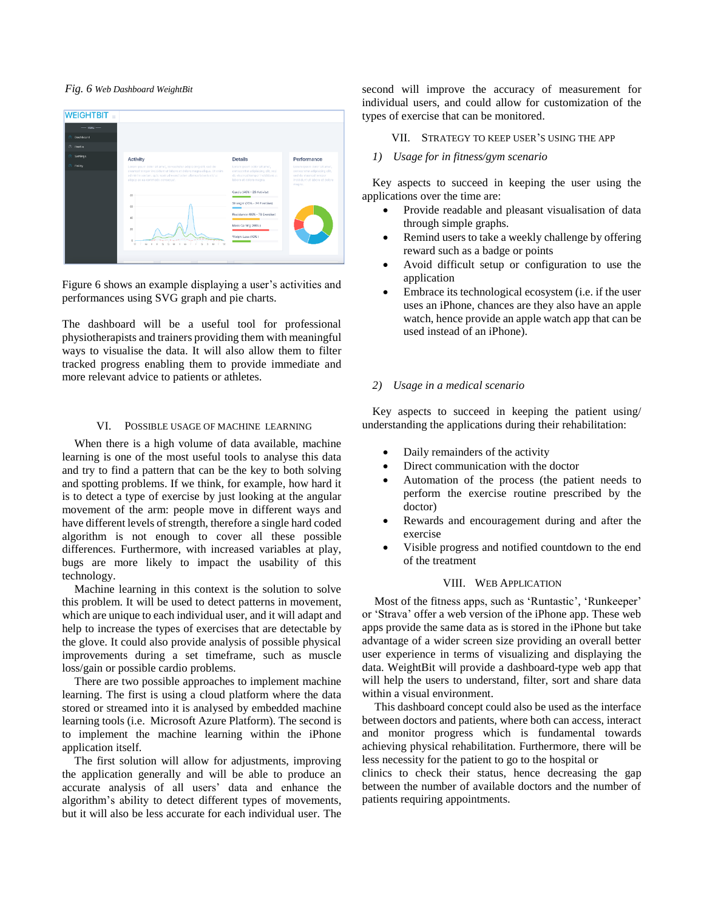## *Fig. 6 Web Dashboard WeightBit*



Figure 6 shows an example displaying a user's activities and performances using SVG graph and pie charts.

The dashboard will be a useful tool for professional physiotherapists and trainers providing them with meaningful ways to visualise the data. It will also allow them to filter tracked progress enabling them to provide immediate and more relevant advice to patients or athletes.

### VI. POSSIBLE USAGE OF MACHINE LEARNING

When there is a high volume of data available, machine learning is one of the most useful tools to analyse this data and try to find a pattern that can be the key to both solving and spotting problems. If we think, for example, how hard it is to detect a type of exercise by just looking at the angular movement of the arm: people move in different ways and have different levels of strength, therefore a single hard coded algorithm is not enough to cover all these possible differences. Furthermore, with increased variables at play, bugs are more likely to impact the usability of this technology.

Machine learning in this context is the solution to solve this problem. It will be used to detect patterns in movement, which are unique to each individual user, and it will adapt and help to increase the types of exercises that are detectable by the glove. It could also provide analysis of possible physical improvements during a set timeframe, such as muscle loss/gain or possible cardio problems.

There are two possible approaches to implement machine learning. The first is using a cloud platform where the data stored or streamed into it is analysed by embedded machine learning tools (i.e. Microsoft Azure Platform). The second is to implement the machine learning within the iPhone application itself.

The first solution will allow for adjustments, improving the application generally and will be able to produce an accurate analysis of all users' data and enhance the algorithm's ability to detect different types of movements, but it will also be less accurate for each individual user. The second will improve the accuracy of measurement for individual users, and could allow for customization of the types of exercise that can be monitored.

VII. STRATEGY TO KEEP USER'S USING THE APP

*1) Usage for in fitness/gym scenario* 

Key aspects to succeed in keeping the user using the applications over the time are:

- Provide readable and pleasant visualisation of data through simple graphs.
- Remind users to take a weekly challenge by offering reward such as a badge or points
- Avoid difficult setup or configuration to use the application
- Embrace its technological ecosystem (i.e. if the user uses an iPhone, chances are they also have an apple watch, hence provide an apple watch app that can be used instead of an iPhone).

## *2) Usage in a medical scenario*

Key aspects to succeed in keeping the patient using/ understanding the applications during their rehabilitation:

- Daily remainders of the activity
- Direct communication with the doctor
- Automation of the process (the patient needs to perform the exercise routine prescribed by the doctor)
- Rewards and encouragement during and after the exercise
- Visible progress and notified countdown to the end of the treatment

#### VIII. WEB APPLICATION

Most of the fitness apps, such as 'Runtastic', 'Runkeeper' or 'Strava' offer a web version of the iPhone app. These web apps provide the same data as is stored in the iPhone but take advantage of a wider screen size providing an overall better user experience in terms of visualizing and displaying the data. WeightBit will provide a dashboard-type web app that will help the users to understand, filter, sort and share data within a visual environment.

This dashboard concept could also be used as the interface between doctors and patients, where both can access, interact and monitor progress which is fundamental towards achieving physical rehabilitation. Furthermore, there will be less necessity for the patient to go to the hospital or

clinics to check their status, hence decreasing the gap between the number of available doctors and the number of patients requiring appointments.